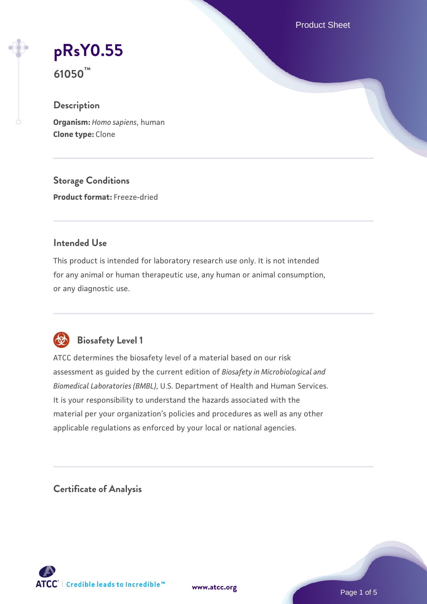Product Sheet

# **[pRsY0.55](https://www.atcc.org/products/61050)**

**61050™**

# **Description**

**Organism:** *Homo sapiens*, human **Clone type:** Clone

**Storage Conditions Product format:** Freeze-dried

## **Intended Use**

This product is intended for laboratory research use only. It is not intended for any animal or human therapeutic use, any human or animal consumption, or any diagnostic use.



# **Biosafety Level 1**

ATCC determines the biosafety level of a material based on our risk assessment as guided by the current edition of *Biosafety in Microbiological and Biomedical Laboratories (BMBL)*, U.S. Department of Health and Human Services. It is your responsibility to understand the hazards associated with the material per your organization's policies and procedures as well as any other applicable regulations as enforced by your local or national agencies.

**Certificate of Analysis**

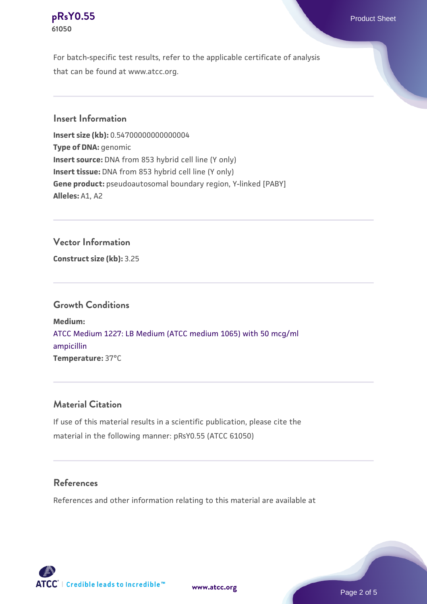## **[pRsY0.55](https://www.atcc.org/products/61050)** Product Sheet **61050**

For batch-specific test results, refer to the applicable certificate of analysis that can be found at www.atcc.org.

## **Insert Information**

**Insert size (kb):** 0.54700000000000004 **Type of DNA:** genomic **Insert source:** DNA from 853 hybrid cell line (Y only) **Insert tissue:** DNA from 853 hybrid cell line (Y only) **Gene product:** pseudoautosomal boundary region, Y-linked [PABY] **Alleles:** A1, A2

## **Vector Information**

**Construct size (kb):** 3.25

#### **Growth Conditions**

**Medium:**  [ATCC Medium 1227: LB Medium \(ATCC medium 1065\) with 50 mcg/ml](https://www.atcc.org/-/media/product-assets/documents/microbial-media-formulations/1/2/2/7/atcc-medium-1227.pdf?rev=581c98603b3e4b29a6d62ee0ba9ca578) [ampicillin](https://www.atcc.org/-/media/product-assets/documents/microbial-media-formulations/1/2/2/7/atcc-medium-1227.pdf?rev=581c98603b3e4b29a6d62ee0ba9ca578) **Temperature:** 37°C

## **Material Citation**

If use of this material results in a scientific publication, please cite the material in the following manner: pRsY0.55 (ATCC 61050)

#### **References**

References and other information relating to this material are available at

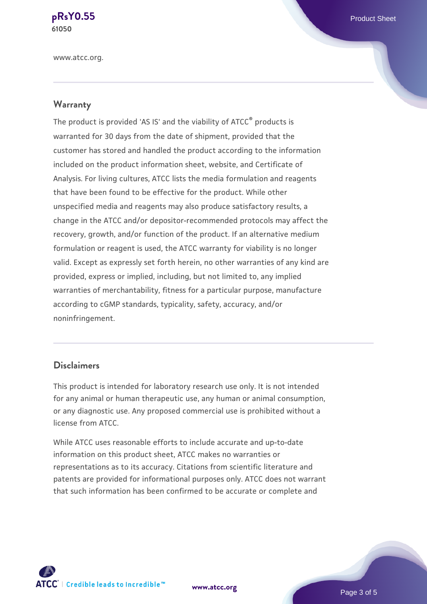**[pRsY0.55](https://www.atcc.org/products/61050)** Product Sheet **61050**

www.atcc.org.

#### **Warranty**

The product is provided 'AS IS' and the viability of ATCC® products is warranted for 30 days from the date of shipment, provided that the customer has stored and handled the product according to the information included on the product information sheet, website, and Certificate of Analysis. For living cultures, ATCC lists the media formulation and reagents that have been found to be effective for the product. While other unspecified media and reagents may also produce satisfactory results, a change in the ATCC and/or depositor-recommended protocols may affect the recovery, growth, and/or function of the product. If an alternative medium formulation or reagent is used, the ATCC warranty for viability is no longer valid. Except as expressly set forth herein, no other warranties of any kind are provided, express or implied, including, but not limited to, any implied warranties of merchantability, fitness for a particular purpose, manufacture according to cGMP standards, typicality, safety, accuracy, and/or noninfringement.

#### **Disclaimers**

This product is intended for laboratory research use only. It is not intended for any animal or human therapeutic use, any human or animal consumption, or any diagnostic use. Any proposed commercial use is prohibited without a license from ATCC.

While ATCC uses reasonable efforts to include accurate and up-to-date information on this product sheet, ATCC makes no warranties or representations as to its accuracy. Citations from scientific literature and patents are provided for informational purposes only. ATCC does not warrant that such information has been confirmed to be accurate or complete and



**[www.atcc.org](http://www.atcc.org)**

Page 3 of 5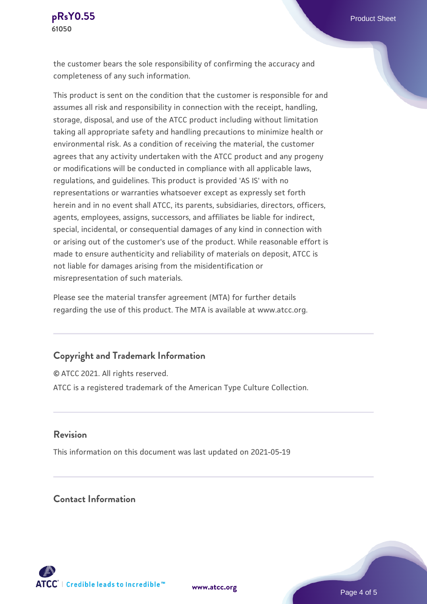the customer bears the sole responsibility of confirming the accuracy and completeness of any such information.

This product is sent on the condition that the customer is responsible for and assumes all risk and responsibility in connection with the receipt, handling, storage, disposal, and use of the ATCC product including without limitation taking all appropriate safety and handling precautions to minimize health or environmental risk. As a condition of receiving the material, the customer agrees that any activity undertaken with the ATCC product and any progeny or modifications will be conducted in compliance with all applicable laws, regulations, and guidelines. This product is provided 'AS IS' with no representations or warranties whatsoever except as expressly set forth herein and in no event shall ATCC, its parents, subsidiaries, directors, officers, agents, employees, assigns, successors, and affiliates be liable for indirect, special, incidental, or consequential damages of any kind in connection with or arising out of the customer's use of the product. While reasonable effort is made to ensure authenticity and reliability of materials on deposit, ATCC is not liable for damages arising from the misidentification or misrepresentation of such materials.

Please see the material transfer agreement (MTA) for further details regarding the use of this product. The MTA is available at www.atcc.org.

#### **Copyright and Trademark Information**

© ATCC 2021. All rights reserved. ATCC is a registered trademark of the American Type Culture Collection.

#### **Revision**

This information on this document was last updated on 2021-05-19

# **Contact Information**